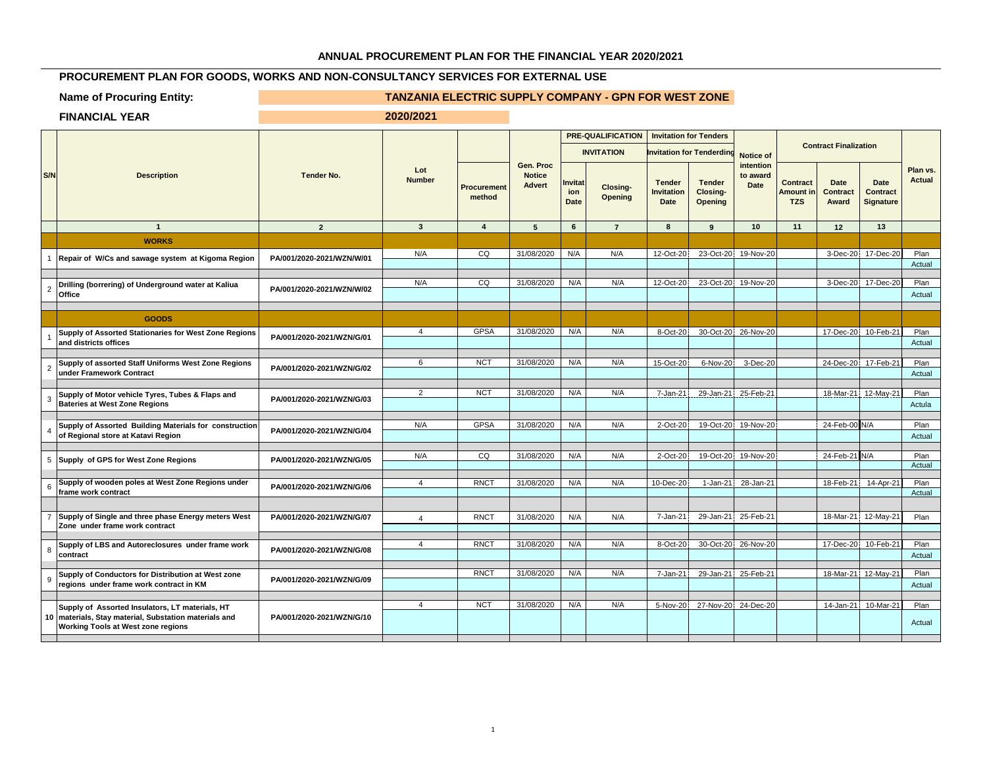## **ANNUAL PROCUREMENT PLAN FOR THE FINANCIAL YEAR 2020/2021**

## **PROCUREMENT PLAN FOR GOODS, WORKS AND NON-CONSULTANCY SERVICES FOR EXTERNAL USE**

## **Name of Procuring Entity:** TANZANIA ELECTRIC SUPPLY COMPANY - GPN FOR WEST ZONE

**FINANCIAL YEAR 2020/2021**

|                | <b>Description</b>                                                                                                                             |                           | Lot<br><b>Tender No.</b><br><b>Number</b> |                              |                                             | <b>PRE-QUALIFICATION</b><br><b>INVITATION</b> |                            | <b>Invitation for Tenders</b><br><b>Invitation for Tenderdir</b> |                                      | <b>Notice of</b>                     |                                            | <b>Contract Finalization</b>            |                                      |                    |
|----------------|------------------------------------------------------------------------------------------------------------------------------------------------|---------------------------|-------------------------------------------|------------------------------|---------------------------------------------|-----------------------------------------------|----------------------------|------------------------------------------------------------------|--------------------------------------|--------------------------------------|--------------------------------------------|-----------------------------------------|--------------------------------------|--------------------|
| S/N            |                                                                                                                                                |                           |                                           | <b>Procurement</b><br>method | Gen. Proc<br><b>Notice</b><br><b>Advert</b> | Invitat<br>ion<br>Date                        | Closing-<br><b>Opening</b> | <b>Tender</b><br><b>Invitation</b><br>Date                       | <b>Tender</b><br>Closing-<br>Opening | intention<br>to award<br><b>Date</b> | <b>Contract</b><br>Amount in<br><b>TZS</b> | <b>Date</b><br><b>Contract</b><br>Award | <b>Date</b><br>Contract<br>Signature | Plan vs.<br>Actual |
|                | $\mathbf{1}$                                                                                                                                   | $\overline{2}$            | $\overline{\mathbf{3}}$                   | $\overline{4}$               | 5                                           | $6\phantom{.}6$                               | $\overline{7}$             | 8                                                                | 9                                    | 10                                   | 11                                         | 12                                      | 13                                   |                    |
|                | <b>WORKS</b>                                                                                                                                   |                           |                                           |                              |                                             |                                               |                            |                                                                  |                                      |                                      |                                            |                                         |                                      |                    |
|                | Repair of W/Cs and sawage system at Kigoma Region                                                                                              | PA/001/2020-2021/WZN/W/01 | N/A                                       | CQ                           | 31/08/2020                                  | N/A                                           | N/A                        | 12-Oct-20                                                        |                                      | 23-Oct-20 19-Nov-20                  |                                            |                                         | 3-Dec-20 17-Dec-20                   | Plan<br>Actual     |
| 2              | Drilling (borrering) of Underground water at Kaliua<br>Office                                                                                  | PA/001/2020-2021/WZN/W/02 | N/A                                       | CQ                           | 31/08/2020                                  | N/A                                           | N/A                        | 12-Oct-20                                                        | 23-Oct-20                            | 19-Nov-20                            |                                            |                                         | 3-Dec-20 17-Dec-20                   | Plan<br>Actual     |
|                | <b>GOODS</b>                                                                                                                                   |                           |                                           |                              |                                             |                                               |                            |                                                                  |                                      |                                      |                                            |                                         |                                      |                    |
|                | Supply of Assorted Stationaries for West Zone Regions<br>and districts offices                                                                 | PA/001/2020-2021/WZN/G/01 | $\overline{4}$                            | <b>GPSA</b>                  | 31/08/2020                                  | N/A                                           | N/A                        | 8-Oct-20                                                         |                                      | 30-Oct-20 26-Nov-20                  |                                            | 17-Dec-20                               | 10-Feb-21                            | Plan<br>Actual     |
| $\overline{2}$ | Supply of assorted Staff Uniforms West Zone Regions<br>under Framework Contract                                                                | PA/001/2020-2021/WZN/G/02 | 6                                         | <b>NCT</b>                   | 31/08/2020                                  | N/A                                           | N/A                        | 15-Oct-20                                                        | 6-Nov-20                             | 3-Dec-20                             |                                            |                                         | 24-Dec-20 17-Feb-21                  | Plan<br>Actual     |
|                | Supply of Motor vehicle Tyres, Tubes & Flaps and<br><b>Bateries at West Zone Regions</b>                                                       | PA/001/2020-2021/WZN/G/03 | $\overline{2}$                            | <b>NCT</b>                   | 31/08/2020                                  | N/A                                           | N/A                        | 7-Jan-21                                                         | 29-Jan-21                            | 25-Feb-21                            |                                            |                                         | 18-Mar-21 12-May-21                  | Plan<br>Actula     |
|                | Supply of Assorted Building Materials for construction<br>of Regional store at Katavi Region                                                   | PA/001/2020-2021/WZN/G/04 | N/A                                       | <b>GPSA</b>                  | 31/08/2020                                  | N/A                                           | N/A                        | 2-Oct-20                                                         |                                      | 19-Oct-20 19-Nov-20                  |                                            | 24-Feb-00 N/A                           |                                      | Plan<br>Actual     |
|                | 5 Supply of GPS for West Zone Regions                                                                                                          | PA/001/2020-2021/WZN/G/05 | N/A                                       | CQ                           | 31/08/2020                                  | N/A                                           | N/A                        | 2-Oct-20                                                         | 19-Oct-20                            | 19-Nov-20                            |                                            | 24-Feb-21 N/A                           |                                      | Plan<br>Actual     |
|                | Supply of wooden poles at West Zone Regions under<br>frame work contract                                                                       | PA/001/2020-2021/WZN/G/06 | $\overline{4}$                            | <b>RNCT</b>                  | 31/08/2020                                  | N/A                                           | N/A                        | 10-Dec-20                                                        | $1-Jan-21$                           | 28-Jan-21                            |                                            | 18-Feb-21                               | 14-Apr-21                            | Plan<br>Actual     |
|                | Supply of Single and three phase Energy meters West<br>Zone under frame work contract                                                          | PA/001/2020-2021/WZN/G/07 | $\overline{4}$                            | <b>RNCT</b>                  | 31/08/2020                                  | N/A                                           | N/A                        | 7-Jan-21                                                         |                                      | 29-Jan-21 25-Feb-21                  |                                            | 18-Mar-21                               | 12-May-21                            | Plan               |
| 8              | Supply of LBS and Autoreclosures under frame work<br>contract                                                                                  | PA/001/2020-2021/WZN/G/08 | $\overline{4}$                            | <b>RNCT</b>                  | 31/08/2020                                  | N/A                                           | N/A                        | 8-Oct-20                                                         | 30-Oct-20                            | 26-Nov-20                            |                                            | 17-Dec-20                               | 10-Feb-21                            | Plan<br>Actual     |
|                | Supply of Conductors for Distribution at West zone<br>regions under frame work contract in KM                                                  | PA/001/2020-2021/WZN/G/09 |                                           | <b>RNCT</b>                  | 31/08/2020                                  | N/A                                           | N/A                        | 7-Jan-21                                                         |                                      | 29-Jan-21 25-Feb-21                  |                                            |                                         | 18-Mar-21 12-May-21                  | Plan<br>Actual     |
|                | Supply of Assorted Insulators, LT materials, HT<br>10 materials, Stay material, Substation materials and<br>Working Tools at West zone regions | PA/001/2020-2021/WZN/G/10 | $\boldsymbol{\Delta}$                     | <b>NCT</b>                   | 31/08/2020                                  | N/A                                           | N/A                        | 5-Nov-20                                                         |                                      | 27-Nov-20 24-Dec-20                  |                                            | 14-Jan-21                               | 10-Mar-21                            | Plan<br>Actual     |
|                |                                                                                                                                                |                           |                                           |                              |                                             |                                               |                            |                                                                  |                                      |                                      |                                            |                                         |                                      |                    |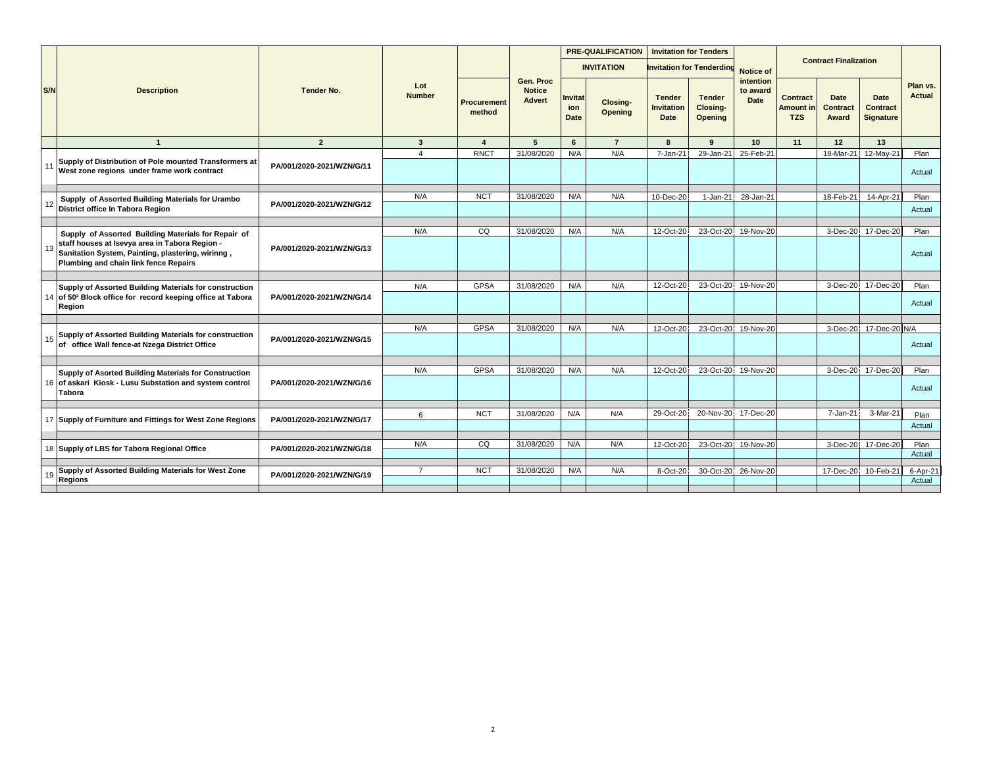|     |                                                                                                                                              |                           |                      |                       |                                             |                       | <b>PRE-QUALIFICATION</b>   | <b>Invitation for Tenders</b>              |                                             |                               |                                            |                                  |                                      |                    |
|-----|----------------------------------------------------------------------------------------------------------------------------------------------|---------------------------|----------------------|-----------------------|---------------------------------------------|-----------------------|----------------------------|--------------------------------------------|---------------------------------------------|-------------------------------|--------------------------------------------|----------------------------------|--------------------------------------|--------------------|
|     |                                                                                                                                              |                           |                      |                       |                                             |                       | <b>INVITATION</b>          |                                            | <b>Invitation for Tenderding</b>            | Notice of                     |                                            | <b>Contract Finalization</b>     |                                      |                    |
| S/N | <b>Description</b>                                                                                                                           | <b>Tender No.</b>         | Lot<br><b>Number</b> | Procurement<br>method | Gen. Proc<br><b>Notice</b><br><b>Advert</b> | nvitat<br>ion<br>Date | Closing-<br><b>Opening</b> | <b>Tender</b><br><b>Invitation</b><br>Date | <b>Tender</b><br>Closing-<br><b>Opening</b> | intention<br>to award<br>Date | <b>Contract</b><br>Amount in<br><b>TZS</b> | <b>Date</b><br>Contract<br>Award | Date<br><b>Contract</b><br>Signature | Plan vs.<br>Actual |
|     | $\mathbf{1}$                                                                                                                                 | $\overline{2}$            | $\mathbf{3}$         | $\boldsymbol{A}$      | 5                                           | 6                     | $\overline{7}$             | 8                                          | 9                                           | 10                            | 11                                         | 12                               | 13                                   |                    |
|     |                                                                                                                                              |                           | $\overline{a}$       | <b>RNCT</b>           | 31/08/2020                                  | N/A                   | N/A                        | 7-Jan-21                                   | 29-Jan-21                                   | 25-Feb-21                     |                                            | 18-Mar-21                        | 12-May-21                            | Plan               |
| 11  | Supply of Distribution of Pole mounted Transformers at<br>West zone regions under frame work contract                                        | PA/001/2020-2021/WZN/G/11 |                      |                       |                                             |                       |                            |                                            |                                             |                               |                                            |                                  |                                      | Actual             |
|     |                                                                                                                                              |                           | N/A                  | <b>NCT</b>            | 31/08/2020                                  | N/A                   | N/A                        | 10-Dec-20                                  | 1-Jan-21                                    | 28-Jan-21                     |                                            | 18-Feb-21                        | 14-Apr-21                            | Plan               |
| 12  | Supply of Assorted Building Materials for Urambo<br>District office In Tabora Region                                                         | PA/001/2020-2021/WZN/G/12 |                      |                       |                                             |                       |                            |                                            |                                             |                               |                                            |                                  |                                      | Actual             |
|     |                                                                                                                                              |                           |                      |                       |                                             |                       |                            |                                            |                                             |                               |                                            |                                  |                                      |                    |
|     | Supply of Assorted Building Materials for Repair of                                                                                          |                           | N/A                  | $\overline{c}$        | 31/08/2020                                  | N/A                   | N/A                        | 12-Oct-20                                  | 23-Oct-20                                   | 19-Nov-20                     |                                            |                                  | 3-Dec-20 17-Dec-20                   | Plan               |
| 13  | staff houses at Isevya area in Tabora Region -<br>Sanitation System, Painting, plastering, wirinng,<br>Plumbing and chain link fence Repairs | PA/001/2020-2021/WZN/G/13 |                      |                       |                                             |                       |                            |                                            |                                             |                               |                                            |                                  |                                      | Actual             |
|     |                                                                                                                                              |                           |                      |                       |                                             |                       |                            |                                            |                                             |                               |                                            |                                  |                                      |                    |
|     | Supply of Assorted Building Materials for construction<br>14 of 50 <sup>2</sup> Block office for record keeping office at Tabora             | PA/001/2020-2021/WZN/G/14 | N/A                  | GPSA                  | 31/08/2020                                  | N/A                   | N/A                        | 12-Oct-20                                  | 23-Oct-20                                   | 19-Nov-20                     |                                            | 3-Dec-20                         | 17-Dec-20                            | Plan<br>Actual     |
|     | Region                                                                                                                                       |                           |                      |                       |                                             |                       |                            |                                            |                                             |                               |                                            |                                  |                                      |                    |
|     |                                                                                                                                              |                           | N/A                  | GPSA                  | 31/08/2020                                  | N/A                   | N/A                        | 12-Oct-20                                  | 23-Oct-20                                   | 19-Nov-20                     |                                            | 3-Dec-20                         | 17-Dec-20 N/A                        |                    |
| 15  | Supply of Assorted Building Materials for construction<br>of office Wall fence-at Nzega District Office                                      | PA/001/2020-2021/WZN/G/15 |                      |                       |                                             |                       |                            |                                            |                                             |                               |                                            |                                  |                                      | Actual             |
|     |                                                                                                                                              |                           |                      |                       |                                             |                       |                            |                                            |                                             |                               |                                            |                                  |                                      |                    |
|     | Supply of Asorted Building Materials for Construction                                                                                        |                           | N/A                  | <b>GPSA</b>           | 31/08/2020                                  | N/A                   | N/A                        | 12-Oct-20                                  |                                             | 23-Oct-20 19-Nov-20           |                                            |                                  | 3-Dec-20 17-Dec-20                   | Plan               |
|     | 16 of askari Kiosk - Lusu Substation and system control<br>Tabora                                                                            | PA/001/2020-2021/WZN/G/16 |                      |                       |                                             |                       |                            |                                            |                                             |                               |                                            |                                  |                                      | Actual             |
|     |                                                                                                                                              |                           | 6                    | <b>NCT</b>            | 31/08/2020                                  | N/A                   | N/A                        | 29-Oct-20                                  | 20-Nov-20                                   | 17-Dec-20                     |                                            | 7-Jan-21                         | 3-Mar-21                             | Plan               |
|     | 17 Supply of Furniture and Fittings for West Zone Regions                                                                                    | PA/001/2020-2021/WZN/G/17 |                      |                       |                                             |                       |                            |                                            |                                             |                               |                                            |                                  |                                      | Actual             |
|     |                                                                                                                                              |                           |                      |                       |                                             |                       |                            |                                            |                                             |                               |                                            |                                  |                                      |                    |
|     | 18 Supply of LBS for Tabora Regional Office                                                                                                  | PA/001/2020-2021/WZN/G/18 | N/A                  | CQ                    | 31/08/2020                                  | N/A                   | N/A                        | 12-Oct-20                                  |                                             | 23-Oct-20 19-Nov-20           |                                            |                                  | 3-Dec-20 17-Dec-20                   | Plan<br>Actual     |
|     | Supply of Assorted Building Materials for West Zone                                                                                          |                           | $\overline{7}$       | <b>NCT</b>            | 31/08/2020                                  | N/A                   | N/A                        | 8-Oct-20                                   |                                             | 30-Oct-20 26-Nov-20           |                                            | 17-Dec-20                        | 10-Feb-21                            | 6-Apr-21           |
| 19  | <b>Regions</b>                                                                                                                               | PA/001/2020-2021/WZN/G/19 |                      |                       |                                             |                       |                            |                                            |                                             |                               |                                            |                                  |                                      | Actual             |
|     |                                                                                                                                              |                           |                      |                       |                                             |                       |                            |                                            |                                             |                               |                                            |                                  |                                      |                    |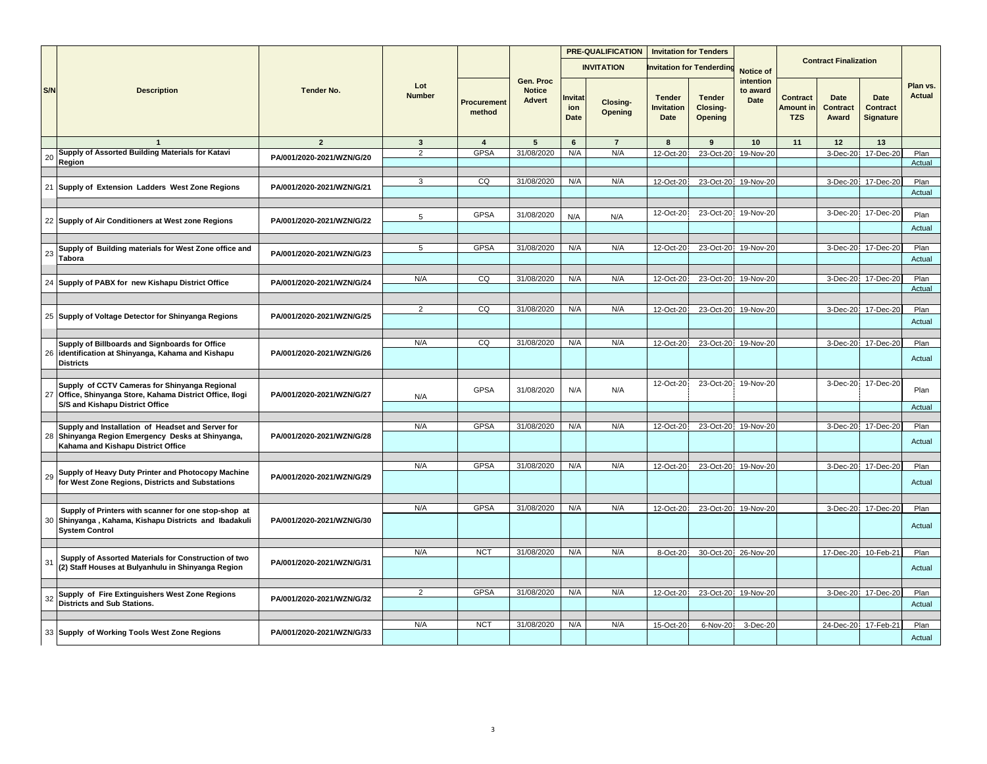|     |                                                                                                                                               | <b>Tender No.</b>         |                      |                              |                                             |                               | <b>PRE-QUALIFICATION</b> | <b>Invitation for Tenders</b>              |                                             |                               |                                                   |                                         |                                             |                    |
|-----|-----------------------------------------------------------------------------------------------------------------------------------------------|---------------------------|----------------------|------------------------------|---------------------------------------------|-------------------------------|--------------------------|--------------------------------------------|---------------------------------------------|-------------------------------|---------------------------------------------------|-----------------------------------------|---------------------------------------------|--------------------|
|     |                                                                                                                                               |                           |                      |                              |                                             |                               | <b>INVITATION</b>        |                                            | <b>Invitation for Tenderdin</b>             | Notice of                     |                                                   | <b>Contract Finalization</b>            |                                             |                    |
| S/N | <b>Description</b>                                                                                                                            |                           | Lot<br><b>Number</b> | <b>Procurement</b><br>method | Gen. Proc<br><b>Notice</b><br><b>Advert</b> | Invitat<br>ion<br><b>Date</b> | Closing-<br>Opening      | <b>Tender</b><br><b>Invitation</b><br>Date | <b>Tender</b><br>Closing-<br><b>Opening</b> | intention<br>to award<br>Date | <b>Contract</b><br><b>Amount in</b><br><b>TZS</b> | <b>Date</b><br><b>Contract</b><br>Award | Date<br><b>Contract</b><br><b>Signature</b> | Plan vs.<br>Actual |
|     | $\overline{1}$                                                                                                                                | $\overline{2}$            | $\mathbf{3}$         | $\overline{4}$               | 5                                           | $6\phantom{1}$                | $\overline{7}$           | 8                                          | 9                                           | 10                            | 11                                                | 12                                      | 13                                          |                    |
| 20  | Supply of Assorted Building Materials for Katavi                                                                                              | PA/001/2020-2021/WZN/G/20 | $\overline{2}$       | <b>GPSA</b>                  | 31/08/2020                                  | N/A                           | N/A                      | 12-Oct-20                                  | 23-Oct-20                                   | 19-Nov-20                     |                                                   | 3-Dec-20!                               | 17-Dec-20                                   | Plan               |
|     | Region                                                                                                                                        |                           |                      |                              |                                             |                               |                          |                                            |                                             |                               |                                                   |                                         |                                             | Actual             |
|     |                                                                                                                                               |                           | 3                    | CQ                           | 31/08/2020                                  | N/A                           | N/A                      | 12-Oct-20                                  |                                             | 23-Oct-20 19-Nov-20           |                                                   |                                         | 3-Dec-20 17-Dec-20                          | Plan               |
|     | 21 Supply of Extension Ladders West Zone Regions                                                                                              | PA/001/2020-2021/WZN/G/21 |                      |                              |                                             |                               |                          |                                            |                                             |                               |                                                   |                                         |                                             | Actual             |
|     |                                                                                                                                               |                           |                      |                              |                                             |                               |                          |                                            |                                             |                               |                                                   |                                         |                                             |                    |
|     |                                                                                                                                               |                           | 5                    | <b>GPSA</b>                  | 31/08/2020                                  | N/A                           | N/A                      | 12-Oct-20                                  | 23-Oct-20                                   | 19-Nov-20                     |                                                   | 3-Dec-20                                | 17-Dec-20                                   | Plan               |
|     | 22 Supply of Air Conditioners at West zone Regions                                                                                            | PA/001/2020-2021/WZN/G/22 |                      |                              |                                             |                               |                          |                                            |                                             |                               |                                                   |                                         |                                             | Actual             |
|     |                                                                                                                                               |                           |                      |                              |                                             |                               |                          |                                            |                                             |                               |                                                   |                                         |                                             |                    |
| 23  | Supply of Building materials for West Zone office and                                                                                         | PA/001/2020-2021/WZN/G/23 | 5                    | <b>GPSA</b>                  | 31/08/2020                                  | N/A                           | N/A                      | 12-Oct-20                                  | 23-Oct-20                                   | 19-Nov-20                     |                                                   | $3-Dec-20$                              | 17-Dec-20                                   | Plan               |
|     | <b>Tabora</b>                                                                                                                                 |                           |                      |                              |                                             |                               |                          |                                            |                                             |                               |                                                   |                                         |                                             | Actual             |
|     |                                                                                                                                               |                           |                      |                              |                                             |                               |                          |                                            |                                             |                               |                                                   |                                         |                                             |                    |
|     | 24 Supply of PABX for new Kishapu District Office                                                                                             | PA/001/2020-2021/WZN/G/24 | N/A                  | CQ                           | 31/08/2020                                  | N/A                           | N/A                      | 12-Oct-20                                  | 23-Oct-20                                   | 19-Nov-20                     |                                                   | 3-Dec-20                                | 17-Dec-20                                   | Plan<br>Actual     |
|     |                                                                                                                                               |                           |                      |                              |                                             |                               |                          |                                            |                                             |                               |                                                   |                                         |                                             |                    |
|     |                                                                                                                                               | $\overline{2}$            | CQ                   | 31/08/2020                   | N/A                                         | N/A                           | 12-Oct-20                | 23-Oct-20                                  | 19-Nov-20                                   |                               | 3-Dec-20                                          | 17-Dec-20                               | Plan                                        |                    |
|     | 25 Supply of Voltage Detector for Shinyanga Regions                                                                                           | PA/001/2020-2021/WZN/G/25 |                      |                              |                                             |                               |                          |                                            |                                             |                               |                                                   |                                         |                                             | Actual             |
|     |                                                                                                                                               |                           |                      |                              |                                             |                               |                          |                                            |                                             |                               |                                                   |                                         |                                             |                    |
|     | Supply of Billboards and Signboards for Office                                                                                                |                           | N/A                  | CQ                           | 31/08/2020                                  | N/A                           | N/A                      | 12-Oct-20                                  |                                             | 23-Oct-20 19-Nov-20           |                                                   |                                         | 3-Dec-20 17-Dec-20                          | Plan               |
|     | 26 identification at Shinyanga, Kahama and Kishapu<br><b>Districts</b>                                                                        | PA/001/2020-2021/WZN/G/26 |                      |                              |                                             |                               |                          |                                            |                                             |                               |                                                   |                                         |                                             | Actual             |
|     |                                                                                                                                               |                           |                      |                              |                                             |                               |                          |                                            |                                             |                               |                                                   |                                         |                                             |                    |
|     | Supply of CCTV Cameras for Shinyanga Regional<br>27 Office, Shinyanga Store, Kahama District Office, Ilogi<br>S/S and Kishapu District Office | PA/001/2020-2021/WZN/G/27 | N/A                  | <b>GPSA</b>                  | 31/08/2020                                  | N/A                           | N/A                      | 12-Oct-20                                  | 23-Oct-20                                   | 19-Nov-20                     |                                                   | 3-Dec-20                                | 17-Dec-20                                   | Plan               |
|     |                                                                                                                                               |                           |                      |                              |                                             |                               |                          |                                            |                                             |                               |                                                   |                                         |                                             | Actual             |
|     | Supply and Installation of Headset and Server for                                                                                             |                           | N/A                  | <b>GPSA</b>                  | 31/08/2020                                  | N/A                           | N/A                      | 12-Oct-20                                  | 23-Oct-20                                   | 19-Nov-20                     |                                                   |                                         | 3-Dec-20 17-Dec-20                          | Plan               |
| 28  | Shinyanga Region Emergency Desks at Shinyanga,<br>Kahama and Kishapu District Office                                                          | PA/001/2020-2021/WZN/G/28 |                      |                              |                                             |                               |                          |                                            |                                             |                               |                                                   |                                         |                                             | Actual             |
|     |                                                                                                                                               |                           | N/A                  | <b>GPSA</b>                  | 31/08/2020                                  | N/A                           | N/A                      | 12-Oct-20                                  | 23-Oct-20                                   | 19-Nov-20                     |                                                   | 3-Dec-20                                | 17-Dec-20                                   | Plan               |
| 29  | Supply of Heavy Duty Printer and Photocopy Machine<br>for West Zone Regions, Districts and Substations                                        | PA/001/2020-2021/WZN/G/29 |                      |                              |                                             |                               |                          |                                            |                                             |                               |                                                   |                                         |                                             | Actual             |
|     |                                                                                                                                               |                           |                      |                              |                                             |                               |                          |                                            |                                             |                               |                                                   |                                         |                                             |                    |
| 30  | Supply of Printers with scanner for one stop-shop at<br>Shinyanga, Kahama, Kishapu Districts and Ibadakuli                                    | PA/001/2020-2021/WZN/G/30 | N/A                  | <b>GPSA</b>                  | 31/08/2020                                  | N/A                           | N/A                      | 12-Oct-20                                  | 23-Oct-20                                   | 19-Nov-20                     |                                                   | $3-Dec-20$                              | 17-Dec-20                                   | Plan               |
|     | <b>System Control</b>                                                                                                                         |                           |                      |                              |                                             |                               |                          |                                            |                                             |                               |                                                   |                                         |                                             | Actual             |
|     |                                                                                                                                               |                           | N/A                  | <b>NCT</b>                   | 31/08/2020                                  | N/A                           | N/A                      | 8-Oct-20                                   |                                             | 30-Oct-20 26-Nov-20           |                                                   | 17-Dec-20                               | 10-Feb-2                                    | Plan               |
| 31  | Supply of Assorted Materials for Construction of two<br>(2) Staff Houses at Bulyanhulu in Shinyanga Region                                    | PA/001/2020-2021/WZN/G/31 |                      |                              |                                             |                               |                          |                                            |                                             |                               |                                                   |                                         |                                             | Actual             |
|     |                                                                                                                                               |                           | $\overline{2}$       | <b>GPSA</b>                  | 31/08/2020                                  | N/A                           | N/A                      | 12-Oct-20                                  | 23-Oct-20                                   | 19-Nov-20                     |                                                   | 3-Dec-20                                | 17-Dec-20                                   | Plan               |
| 32  | Supply of Fire Extinguishers West Zone Regions<br><b>Districts and Sub Stations.</b>                                                          | PA/001/2020-2021/WZN/G/32 |                      |                              |                                             |                               |                          |                                            |                                             |                               |                                                   |                                         |                                             | Actual             |
|     |                                                                                                                                               |                           |                      |                              |                                             |                               |                          |                                            |                                             |                               |                                                   |                                         |                                             |                    |
|     |                                                                                                                                               |                           | N/A                  | <b>NCT</b>                   | 31/08/2020                                  | N/A                           | N/A                      | 15-Oct-20                                  | 6-Nov-20                                    | 3-Dec-20                      |                                                   | 24-Dec-20                               | 17-Feb-2                                    | Plan               |
|     | 33 Supply of Working Tools West Zone Regions                                                                                                  | PA/001/2020-2021/WZN/G/33 |                      |                              |                                             |                               |                          |                                            |                                             |                               |                                                   |                                         |                                             | Actual             |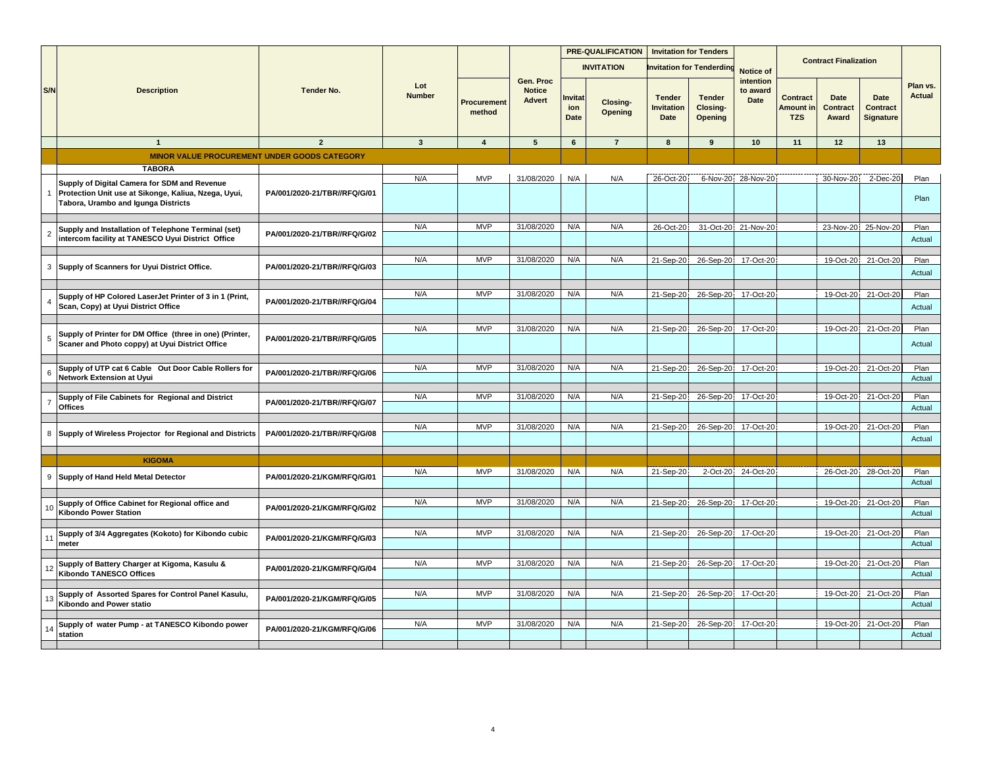|                |                                                                                                                                             |                              | Lot<br><b>Number</b> |                       |                                             | PRE-QUALIFICATION             |                     | <b>Invitation for Tenders</b>       |                                             |                                      |                                            |                                  |                                             |                    |
|----------------|---------------------------------------------------------------------------------------------------------------------------------------------|------------------------------|----------------------|-----------------------|---------------------------------------------|-------------------------------|---------------------|-------------------------------------|---------------------------------------------|--------------------------------------|--------------------------------------------|----------------------------------|---------------------------------------------|--------------------|
|                |                                                                                                                                             |                              |                      |                       |                                             |                               | <b>INVITATION</b>   |                                     | <b>Invitation for Tenderdin</b>             | Notice of                            |                                            | <b>Contract Finalization</b>     |                                             |                    |
| S/N            | <b>Description</b>                                                                                                                          | <b>Tender No.</b>            |                      | Procurement<br>method | Gen. Proc<br><b>Notice</b><br><b>Advert</b> | Invitat<br>ion<br><b>Date</b> | Closing-<br>Opening | <b>Tender</b><br>Invitation<br>Date | <b>Tender</b><br>Closing-<br><b>Opening</b> | intention<br>to award<br><b>Date</b> | <b>Contract</b><br>Amount in<br><b>TZS</b> | Date<br><b>Contract</b><br>Award | Date<br><b>Contract</b><br><b>Signature</b> | Plan vs.<br>Actual |
|                | $\overline{1}$                                                                                                                              | $\overline{2}$               | $\mathbf{3}$         | 4                     | 5                                           | 6                             | $\overline{7}$      | 8                                   | 9                                           | 10                                   | 11                                         | 12                               | 13                                          |                    |
|                | <b>MINOR VALUE PROCUREMENT UNDER GOODS CATEGORY</b>                                                                                         |                              |                      |                       |                                             |                               |                     |                                     |                                             |                                      |                                            |                                  |                                             |                    |
|                | <b>TABORA</b>                                                                                                                               |                              |                      |                       |                                             |                               |                     |                                     |                                             |                                      |                                            |                                  |                                             |                    |
|                | Supply of Digital Camera for SDM and Revenue<br>Protection Unit use at Sikonge, Kaliua, Nzega, Uyui,<br>Tabora, Urambo and Igunga Districts | PA/001/2020-21/TBR//RFQ/G/01 | N/A                  | <b>MVP</b>            | 31/08/2020                                  | N/A                           | N/A                 | 26-Oct-20                           |                                             | 6-Nov-20 28-Nov-20                   |                                            | 30-Nov-20                        | 2-Dec-20                                    | Plan<br>Plan       |
|                |                                                                                                                                             |                              | N/A                  | <b>MVP</b>            | 31/08/2020                                  | N/A                           | N/A                 | 26-Oct-20                           |                                             | 31-Oct-20 21-Nov-20                  |                                            |                                  | 23-Nov-20 25-Nov-20                         | Plan               |
| $\overline{2}$ | Supply and Installation of Telephone Terminal (set)<br>intercom facility at TANESCO Uyui District Office                                    | PA/001/2020-21/TBR//RFQ/G/02 |                      |                       |                                             |                               |                     |                                     |                                             |                                      |                                            |                                  |                                             | Actual             |
|                |                                                                                                                                             |                              | N/A                  | <b>MVP</b>            | 31/08/2020                                  | N/A                           | N/A                 | 21-Sep-20                           |                                             | 26-Sep-20 17-Oct-20                  |                                            | 19-Oct-20                        | 21-Oct-20                                   | Plan               |
| 3              | Supply of Scanners for Uyui District Office.                                                                                                | PA/001/2020-21/TBR//RFQ/G/03 |                      |                       |                                             |                               |                     |                                     |                                             |                                      |                                            |                                  |                                             | Actual             |
|                |                                                                                                                                             |                              |                      |                       |                                             |                               |                     |                                     |                                             |                                      |                                            |                                  |                                             |                    |
|                | Supply of HP Colored LaserJet Printer of 3 in 1 (Print,                                                                                     | PA/001/2020-21/TBR//RFQ/G/04 | N/A                  | <b>MVP</b>            | 31/08/2020                                  | N/A                           | N/A                 | 21-Sep-20                           | 26-Sep-20                                   | 17-Oct-20                            |                                            | 19-Oct-20                        | 21-Oct-20                                   | Plan               |
|                | Scan, Copy) at Uyui District Office                                                                                                         |                              |                      |                       |                                             |                               |                     |                                     |                                             |                                      |                                            |                                  |                                             | Actual             |
|                |                                                                                                                                             |                              | N/A                  | <b>MVP</b>            | 31/08/2020                                  | N/A                           | N/A                 | 21-Sep-20                           |                                             | 26-Sep-20 17-Oct-20                  |                                            | 19-Oct-20                        | 21-Oct-20                                   | Plan               |
| 5              | Supply of Printer for DM Office (three in one) (Printer,<br>Scaner and Photo coppy) at Uyui District Office                                 | PA/001/2020-21/TBR//RFQ/G/05 |                      |                       |                                             |                               |                     |                                     |                                             |                                      |                                            |                                  |                                             | Actual             |
|                | Supply of UTP cat 6 Cable Out Door Cable Rollers for                                                                                        |                              | N/A                  | <b>MVP</b>            | 31/08/2020                                  | N/A                           | N/A                 | 21-Sep-20                           |                                             | 26-Sep-20 17-Oct-20                  |                                            | 19-Oct-20                        | 21-Oct-20                                   | Plan               |
| 6              | Network Extension at Uyui                                                                                                                   | PA/001/2020-21/TBR//RFQ/G/06 |                      |                       |                                             |                               |                     |                                     |                                             |                                      |                                            |                                  |                                             | Actual             |
|                |                                                                                                                                             |                              |                      |                       |                                             |                               |                     |                                     |                                             |                                      |                                            |                                  |                                             |                    |
|                | Supply of File Cabinets for Regional and District<br><b>Offices</b>                                                                         | PA/001/2020-21/TBR//RFQ/G/07 | N/A                  | <b>MVP</b>            | 31/08/2020                                  | N/A                           | N/A                 | 21-Sep-20                           |                                             | 26-Sep-20 17-Oct-20                  |                                            | 19-Oct-20                        | 21-Oct-20                                   | Plan<br>Actual     |
|                |                                                                                                                                             |                              |                      |                       |                                             |                               |                     |                                     |                                             |                                      |                                            |                                  |                                             |                    |
| 8              |                                                                                                                                             |                              | N/A                  | <b>MVP</b>            | 31/08/2020                                  | N/A                           | N/A                 | 21-Sep-20                           |                                             | 26-Sep-20 17-Oct-20                  |                                            | 19-Oct-20                        | 21-Oct-20                                   | Plan               |
|                | Supply of Wireless Projector for Regional and Districts                                                                                     | PA/001/2020-21/TBR//RFQ/G/08 |                      |                       |                                             |                               |                     |                                     |                                             |                                      |                                            |                                  |                                             | Actual             |
|                | <b>KIGOMA</b>                                                                                                                               |                              |                      |                       |                                             |                               |                     |                                     |                                             |                                      |                                            |                                  |                                             |                    |
| 9              | Supply of Hand Held Metal Detector                                                                                                          | PA/001/2020-21/KGM/RFQ/G/01  | N/A                  | <b>MVP</b>            | 31/08/2020                                  | N/A                           | N/A                 | 21-Sep-20                           |                                             | 2-Oct-20 24-Oct-20                   |                                            | 26-Oct-20                        | 28-Oct-20                                   | Plan               |
|                |                                                                                                                                             |                              |                      |                       |                                             |                               |                     |                                     |                                             |                                      |                                            |                                  |                                             | Actual             |
|                | Supply of Office Cabinet for Regional office and                                                                                            |                              | N/A                  | <b>MVP</b>            | 31/08/2020                                  | N/A                           | N/A                 | 21-Sep-20                           |                                             | 26-Sep-20 17-Oct-20                  |                                            | 19-Oct-20                        | 21-Oct-20                                   | Plan               |
| 1 <sub>0</sub> | <b>Kibondo Power Station</b>                                                                                                                | PA/001/2020-21/KGM/RFQ/G/02  |                      |                       |                                             |                               |                     |                                     |                                             |                                      |                                            |                                  |                                             | Actual             |
|                |                                                                                                                                             |                              |                      |                       |                                             |                               |                     |                                     |                                             |                                      |                                            |                                  |                                             |                    |
| 11             | Supply of 3/4 Aggregates (Kokoto) for Kibondo cubic                                                                                         | PA/001/2020-21/KGM/RFQ/G/03  | N/A                  | <b>MVP</b>            | 31/08/2020                                  | N/A                           | N/A                 | 21-Sep-20                           | 26-Sep-20                                   | 17-Oct-20                            |                                            | 19-Oct-20                        | 21-Oct-20                                   | Plan               |
|                | meter                                                                                                                                       |                              |                      |                       |                                             |                               |                     |                                     |                                             |                                      |                                            |                                  |                                             | Actual             |
|                | Supply of Battery Charger at Kigoma, Kasulu &                                                                                               |                              | N/A                  | <b>MVP</b>            | 31/08/2020                                  | N/A                           | N/A                 | 21-Sep-20                           |                                             | 26-Sep-20 17-Oct-20                  |                                            | 19-Oct-20                        | 21-Oct-20                                   | Plan               |
| 12             | <b>Kibondo TANESCO Offices</b>                                                                                                              | PA/001/2020-21/KGM/RFQ/G/04  |                      |                       |                                             |                               |                     |                                     |                                             |                                      |                                            |                                  |                                             | Actual             |
|                | Supply of Assorted Spares for Control Panel Kasulu,                                                                                         |                              | N/A                  | <b>MVP</b>            | 31/08/2020                                  | N/A                           | N/A                 | 21-Sep-20                           |                                             | 26-Sep-20 17-Oct-20                  |                                            | 19-Oct-20                        | 21-Oct-20                                   | Plan               |
| 13             | Kibondo and Power statio                                                                                                                    | PA/001/2020-21/KGM/RFQ/G/05  |                      |                       |                                             |                               |                     |                                     |                                             |                                      |                                            |                                  |                                             | Actual             |
|                |                                                                                                                                             |                              | N/A                  | MVP                   | 31/08/2020                                  | N/A                           | N/A                 |                                     |                                             |                                      |                                            |                                  |                                             | Plan               |
|                | Supply of water Pump - at TANESCO Kibondo power<br>station                                                                                  | PA/001/2020-21/KGM/RFQ/G/06  |                      |                       |                                             |                               |                     | 21-Sep-20                           |                                             | 26-Sep-20 17-Oct-20                  |                                            |                                  | 19-Oct-20 21-Oct-20                         | Actual             |
|                |                                                                                                                                             |                              |                      |                       |                                             |                               |                     |                                     |                                             |                                      |                                            |                                  |                                             |                    |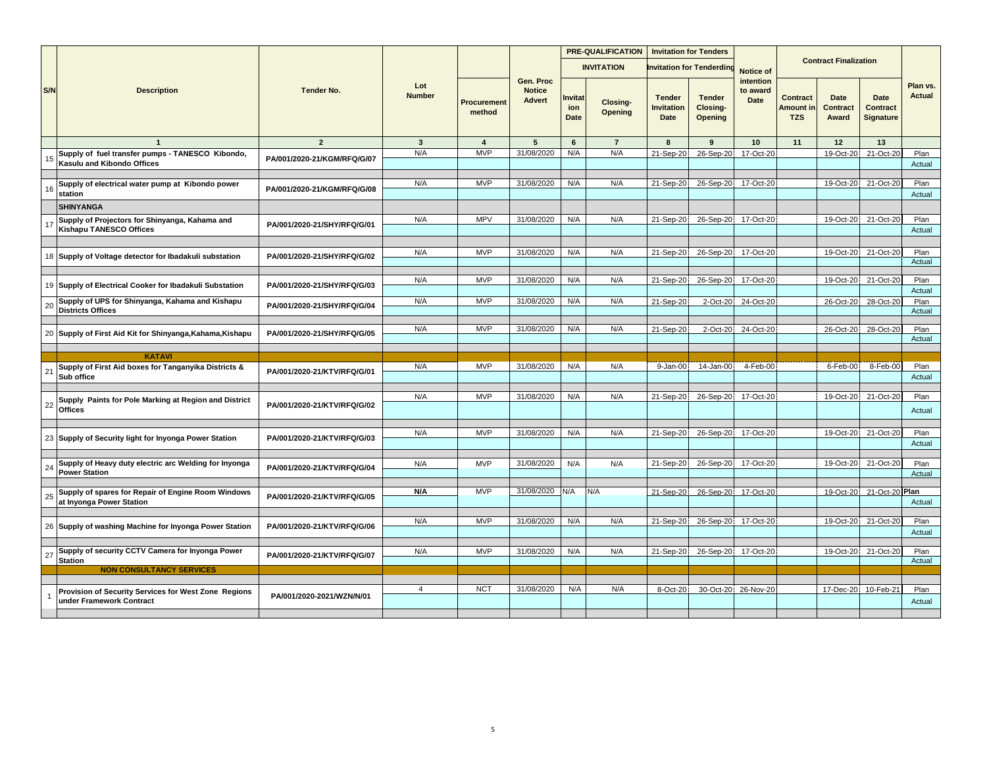|              |                                                                                  | <b>Tender No.</b>           |                      |                       |                                             |                              | <b>PRE-QUALIFICATION</b> | <b>Invitation for Tenders</b>              |                                             |                               |                                            |                              |                                             |                    |
|--------------|----------------------------------------------------------------------------------|-----------------------------|----------------------|-----------------------|---------------------------------------------|------------------------------|--------------------------|--------------------------------------------|---------------------------------------------|-------------------------------|--------------------------------------------|------------------------------|---------------------------------------------|--------------------|
|              |                                                                                  |                             |                      |                       |                                             |                              | <b>INVITATION</b>        |                                            | nvitation for Tenderdin                     | Notice of                     |                                            | <b>Contract Finalization</b> |                                             |                    |
| S/N          | <b>Description</b>                                                               |                             | Lot<br><b>Number</b> | Procurement<br>method | Gen. Proc<br><b>Notice</b><br><b>Advert</b> | nvitat<br>ion<br><b>Date</b> | Closing-<br>Opening      | <b>Tender</b><br><b>Invitation</b><br>Date | <b>Tender</b><br>Closing-<br><b>Opening</b> | intention<br>to award<br>Date | <b>Contract</b><br>Amount in<br><b>TZS</b> | Date<br>Contract<br>Award    | Date<br><b>Contract</b><br><b>Signature</b> | Plan vs.<br>Actual |
|              | $\overline{1}$                                                                   | $\overline{2}$              | $\mathbf{3}$         | $\overline{4}$        | 5                                           | $6\phantom{.}6$              | $\overline{7}$           | 8                                          | 9                                           | 10                            | 11                                         | 12                           | 13                                          |                    |
| 15           | Supply of fuel transfer pumps - TANESCO Kibondo,<br>Kasulu and Kibondo Offices   | PA/001/2020-21/KGM/RFQ/G/07 | N/A                  | <b>MVP</b>            | 31/08/2020                                  | N/A                          | N/A                      | 21-Sep-20                                  | 26-Sep-20                                   | 17-Oct-20                     |                                            | 19-Oct-20                    | 21-Oct-20                                   | Plan<br>Actual     |
| 16           | Supply of electrical water pump at Kibondo power<br>station                      | PA/001/2020-21/KGM/RFQ/G/08 | N/A                  | <b>MVP</b>            | 31/08/2020                                  | N/A                          | N/A                      | 21-Sep-20                                  | 26-Sep-20                                   | 17-Oct-20                     |                                            | 19-Oct-20                    | 21-Oct-20                                   | Plan<br>Actual     |
|              | <b>SHINYANGA</b>                                                                 |                             |                      |                       |                                             |                              |                          |                                            |                                             |                               |                                            |                              |                                             |                    |
| 17           | Supply of Projectors for Shinyanga, Kahama and<br><b>Kishapu TANESCO Offices</b> | PA/001/2020-21/SHY/RFQ/G/01 | N/A                  | <b>MPV</b>            | 31/08/2020                                  | N/A                          | N/A                      | 21-Sep-20                                  |                                             | 26-Sep-20 17-Oct-20           |                                            | 19-Oct-20                    | 21-Oct-20                                   | Plan<br>Actual     |
|              |                                                                                  |                             |                      |                       |                                             |                              |                          |                                            |                                             |                               |                                            |                              |                                             |                    |
|              | 18 Supply of Voltage detector for Ibadakuli substation                           | PA/001/2020-21/SHY/RFQ/G/02 | N/A                  | <b>MVP</b>            | 31/08/2020                                  | N/A                          | N/A                      | 21-Sep-20                                  | 26-Sep-20                                   | 17-Oct-20                     |                                            | 19-Oct-20                    | 21-Oct-20                                   | Plan<br>Actual     |
|              |                                                                                  |                             | N/A                  | <b>MVP</b>            | 31/08/2020                                  | N/A                          | N/A                      | 21-Sep-20                                  | 26-Sep-20                                   | 17-Oct-20                     |                                            | 19-Oct-20                    | 21-Oct-20                                   | Plan               |
|              | 19 Supply of Electrical Cooker for Ibadakuli Substation                          | PA/001/2020-21/SHY/RFQ/G/03 |                      |                       |                                             |                              |                          |                                            |                                             |                               |                                            |                              |                                             | Actual             |
| 20           | Supply of UPS for Shinyanga, Kahama and Kishapu<br><b>Districts Offices</b>      | PA/001/2020-21/SHY/RFQ/G/04 | N/A                  | <b>MVP</b>            | 31/08/2020                                  | N/A                          | N/A                      | 21-Sep-20                                  | 2-Oct-20                                    | 24-Oct-20                     |                                            | 26-Oct-20                    | 28-Oct-20                                   | Plan<br>Actual     |
|              |                                                                                  |                             | N/A                  | <b>MVP</b>            | 31/08/2020                                  | N/A                          | N/A                      | 21-Sep-20                                  | 2-Oct-20                                    | 24-Oct-20                     |                                            | 26-Oct-20                    | 28-Oct-20                                   | Plan               |
|              | 20 Supply of First Aid Kit for Shinyanga, Kahama, Kishapu                        | PA/001/2020-21/SHY/RFQ/G/05 |                      |                       |                                             |                              |                          |                                            |                                             |                               |                                            |                              |                                             | Actual             |
|              |                                                                                  |                             |                      |                       |                                             |                              |                          |                                            |                                             |                               |                                            |                              |                                             |                    |
|              | <b>KATAVI</b>                                                                    |                             |                      |                       |                                             |                              |                          |                                            |                                             |                               |                                            |                              |                                             |                    |
| 21           | Supply of First Aid boxes for Tanganyika Districts &<br>Sub office               | PA/001/2020-21/KTV/RFQ/G/01 | N/A                  | <b>MVP</b>            | 31/08/2020                                  | N/A                          | N/A                      | 9-Jan-00                                   | 14-Jan-00                                   | 4-Feb-00                      |                                            | 6-Feb-00                     | 8-Feb-00                                    | Plan<br>Actual     |
| 22           | Supply Paints for Pole Marking at Region and District<br><b>Offices</b>          | PA/001/2020-21/KTV/RFQ/G/02 | N/A                  | <b>MVP</b>            | 31/08/2020                                  | N/A                          | N/A                      | 21-Sep-20                                  | 26-Sep-20                                   | 17-Oct-20                     |                                            | 19-Oct-20                    | 21-Oct-20                                   | Plan<br>Actual     |
|              |                                                                                  |                             |                      |                       |                                             |                              |                          |                                            |                                             |                               |                                            |                              |                                             |                    |
|              | 23 Supply of Security light for Inyonga Power Station                            | PA/001/2020-21/KTV/RFQ/G/03 | N/A                  | <b>MVP</b>            | 31/08/2020                                  | N/A                          | N/A                      | 21-Sep-20                                  | 26-Sep-20                                   | 17-Oct-20                     |                                            | 19-Oct-20                    | 21-Oct-20                                   | Plan<br>Actual     |
| 24           | Supply of Heavy duty electric arc Welding for Inyonga<br><b>Power Station</b>    | PA/001/2020-21/KTV/RFQ/G/04 | N/A                  | <b>MVP</b>            | 31/08/2020                                  | N/A                          | N/A                      | 21-Sep-20                                  | 26-Sep-20                                   | 17-Oct-20                     |                                            | 19-Oct-20                    | 21-Oct-20                                   | Plan<br>Actual     |
| 25           | Supply of spares for Repair of Engine Room Windows<br>at Inyonga Power Station   | PA/001/2020-21/KTV/RFQ/G/05 | N/A                  | <b>MVP</b>            | 31/08/2020                                  | N/A                          | N/A                      | 21-Sep-20                                  | 26-Sep-20                                   | 17-Oct-20                     |                                            | 19-Oct-20                    | 21-Oct-20 Plan                              | Actual             |
|              |                                                                                  |                             |                      |                       |                                             |                              |                          |                                            |                                             |                               |                                            |                              |                                             |                    |
|              | 26 Supply of washing Machine for Inyonga Power Station                           | PA/001/2020-21/KTV/RFQ/G/06 | N/A                  | <b>MVP</b>            | 31/08/2020                                  | N/A                          | N/A                      | 21-Sep-20                                  | 26-Sep-20                                   | 17-Oct-20                     |                                            | 19-Oct-20                    | 21-Oct-20                                   | Plan<br>Actual     |
| 27           | Supply of security CCTV Camera for Inyonga Power                                 | PA/001/2020-21/KTV/RFQ/G/07 | N/A                  | <b>MVP</b>            | 31/08/2020                                  | N/A                          | N/A                      | 21-Sep-20                                  | 26-Sep-20                                   | 17-Oct-20                     |                                            | 19-Oct-20                    | 21-Oct-20                                   | Plan               |
|              | <b>Station</b><br><b>NON CONSULTANCY SERVICES</b>                                |                             |                      |                       |                                             |                              |                          |                                            |                                             |                               |                                            |                              |                                             | Actual             |
|              |                                                                                  |                             |                      |                       |                                             |                              |                          |                                            |                                             |                               |                                            |                              |                                             |                    |
| $\mathbf{1}$ | Provision of Security Services for West Zone Regions<br>under Framework Contract | PA/001/2020-2021/WZN/N/01   | $\overline{4}$       | <b>NCT</b>            | 31/08/2020                                  | N/A                          | N/A                      | 8-Oct-20                                   |                                             | 30-Oct-20 26-Nov-20           |                                            |                              | 17-Dec-20 10-Feb-21                         | Plan<br>Actual     |
|              |                                                                                  |                             |                      |                       |                                             |                              |                          |                                            |                                             |                               |                                            |                              |                                             |                    |